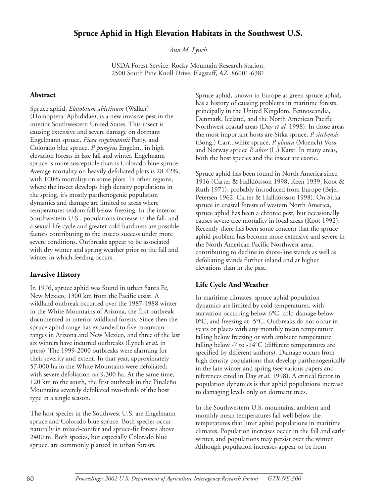# **Spruce Aphid in High Elevation Habitats in the Southwest U.S.**

*Ann M. Lynch*

USDA Forest Service, Rocky Mountain Research Station, 2500 South Pine Knoll Drive, Flagstaff, AZ 86001-6381

#### **Abstract**

Spruce aphid, *Elatobium abietinum* (Walker) (Homoptera: Aphididae), is a new invasive pest in the interior Southwestern United States. This insect is causing extensive and severe damage on dormant Engelmann spruce, *Picea engelmannii* Parry, and Colorado blue spruce, *P. pungens* Engelm., in high elevation forests in late fall and winter. Engelmann spruce is more susceptible than is Colorado blue spruce. Average mortality on heavily defoliated plots is 28-42%, with 100% mortality on some plots. In other regions, where the insect develops high density populations in the spring, it's mostly parthenogenic population dynamics and damage are limited to areas where temperatures seldom fall below freezing. In the interior Southwestern U.S., populations increase in the fall, and a sexual life cycle and greater cold-hardiness are possible factors contributing to the insects success under more severe conditions. Outbreaks appear to be associated with dry winter and spring weather prior to the fall and winter in which feeding occurs.

## **Invasive History**

In 1976, spruce aphid was found in urban Santa Fe, New Mexico, 1300 km from the Pacific coast. A wildland outbreak occurred over the 1987-1988 winter in the White Mountains of Arizona, the first outbreak documented in interior wildland forests. Since then the spruce aphid range has expanded to five mountain ranges in Arizona and New Mexico, and three of the last six winters have incurred outbreaks (Lynch *et al*. in press). The 1999-2000 outbreaks were alarming for their severity and extent. In that year, approximately 57,000 ha in the White Mountains were defoliated, with severe defoliation on 9,300 ha. At the same time, 120 km to the south, the first outbreak in the Pinaleño Mountains severely defoliated two-thirds of the host type in a single season.

The host species in the Southwest U.S. are Engelmann spruce and Colorado blue spruce. Both species occur naturally in mixed-conifer and spruce-fir forests above 2400 m. Both species, but especially Colorado blue spruce, are commonly planted in urban forests.

Spruce aphid, known in Europe as green spruce aphid, has a history of causing problems in maritime forests, principally in the United Kingdom, Fennoscandia, Denmark, Iceland, and the North American Pacific Northwest coastal areas (Day *et al.* 1998). In those areas the most important hosts are Sitka spruce, *P. sitchensis* (Bong.) Carr., white spruce, *P. glauca* (Moench) Voss, and Norway spruce *P. abies* (L.) Karst. In many areas, both the host species and the insect are exotic.

Spruce aphid has been found in North America since 1916 (Carter & Halldórsson 1998, Keen 1939, Koot & Ruth 1971), probably introduced from Europe (Bejer-Petersen 1962, Carter & Halldórsson 1998). On Sitka spruce in coastal forests of western North America, spruce aphid has been a chronic pest, but occasionally causes severe tree mortality in local areas (Koot 1992). Recently there has been some concern that the spruce aphid problem has become more extensive and severe in the North American Pacific Northwest area, contributing to decline in shore-line stands as well as defoliating stands further inland and at higher elevations than in the past.

## **Life Cycle And Weather**

In maritime climates, spruce aphid population dynamics are limited by cold temperatures, with starvation occurring below 6°C, cold damage below 0°C, and freezing at -5°C. Outbreaks do not occur in years or places with any monthly mean temperature falling below freezing or with ambient temperature falling below -7 to -14°C (different temperatures are specified by different authors). Damage occurs from high density populations that develop parthenogenically in the late winter and spring (see various papers and references cited in Day *et al.* 1998). A critical factor in population dynamics is that aphid populations increase to damaging levels only on dormant trees.

In the Southwestern U.S. mountains, ambient and monthly mean temperatures fall well below the temperatures that limit aphid populations in maritime climates. Population increases occur in the fall and early winter, and populations may persist over the winter. Although population increases appear to be from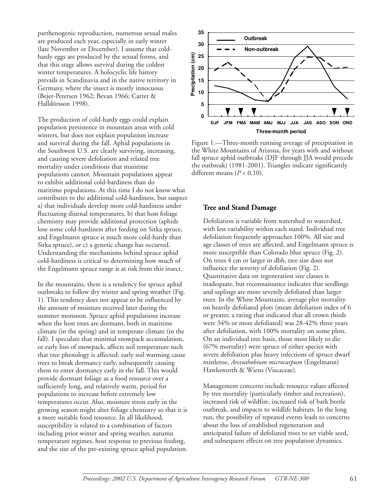parthenogenic reproduction, numerous sexual males are produced each year, especially in early winter (late November or December). I assume that coldhardy eggs are produced by the sexual forms, and that this stage allows survival during the coldest winter temperatures. A holocyclic life history prevails in Scandinavia and in the native territory in Germany, where the insect is mostly innocuous (Bejer-Petersen 1962; Bevan 1966; Carter & Halldórsson 1998).

The production of cold-hardy eggs could explain population persistence in mountain areas with cold winters, but does not explain population increase and survival during the fall. Aphid populations in the Southwest U.S. are clearly surviving, increasing, and causing severe defoliation and related tree mortality under conditions that maritime populations cannot. Mountain populations appear to exhibit additional cold-hardiness than do maritime populations. At this time I do not know what contributes to the additional cold-hardiness, but suspect a) that individuals develop more cold-hardiness under fluctuating diurnal temperatures, b) that host foliage chemistry may provide additional protection (aphids lose some cold-hardiness after feeding on Sitka spruce, and Engelmann spruce is much more cold-hardy than Sitka spruce), or c) a genetic change has occurred. Understanding the mechanisms behind spruce aphid cold-hardiness is critical to determining how much of the Engelmann spruce range is at risk from this insect.

In the mountains, there is a tendency for spruce aphid outbreaks to follow dry winter and spring weather (Fig. 1). This tendency does not appear to be influenced by the amount of moisture received later during the summer monsoon. Spruce aphid populations increase when the host trees are dormant, both in maritime climate (in the spring) and in temperate climate (in the fall). I speculate that minimal snowpack accumulation, or early loss of snowpack, affects soil temperature such that tree phenology is affected: early soil warming cause trees to break dormancy early, subsequently causing them to enter dormancy early in the fall. This would provide dormant foliage as a food resource over a sufficiently long, and relatively warm, period for populations to increase before extremely low temperatures occur. Also, moisture stress early in the growing season might alter foliage chemistry so that it is a more suitable food resource. In all likelihood, susceptibility is related to a combination of factors including prior winter and spring weather, autumn temperature regimes, host response to previous feeding, and the size of the pre-existing spruce aphid population.



Figure 1.—Three-month running average of precipitation in the White Mountains of Arizona, for years with and without fall spruce aphid outbreaks (DJF through JJA would precede the outbreak) (1981-2001). Triangles indicate significantly different means  $(P < 0.10)$ .

#### **Tree and Stand Damage**

Defoliation is variable from watershed to watershed, with less variability within each stand. Individual tree defoliation frequently approaches 100%. All size and age classes of trees are affected, and Engelmann spruce is more susceptible than Colorado blue spruce (Fig. 2). On trees 4 cm or larger in dbh, tree size does not influence the severity of defoliation (Fig. 2). Quantitative data on regeneration size classes is inadequate, but reconnaissance indicates that seedlings and saplings are more severely defoliated than larger trees. In the White Mountains, average plot mortality on heavily defoliated plots (mean defoliation index of 6 or greater, a rating that indicated that all crown thirds were 34% or more defoliated) was 28-42% three years after defoliation, with 100% mortality on some plots. On an individual tree basis, those most likely to die (67% mortality) were spruce of either species with severe defoliation plus heavy infections of spruce dwarf mistletoe, *Arceuthobium microcarpum* (Engelmann) Hawksworth & Wiens (Viscaceae).

Management concerns include resource values affected by tree mortality (particularly timber and recreation), increased risk of wildfire, increased risk of bark beetle outbreak, and impacts to wildlife habitats. In the long run, the possibility of repeated events leads to concerns about the loss of established regeneration and anticipated failure of defoliated trees to set viable seed, and subsequent effects on tree population dynamics.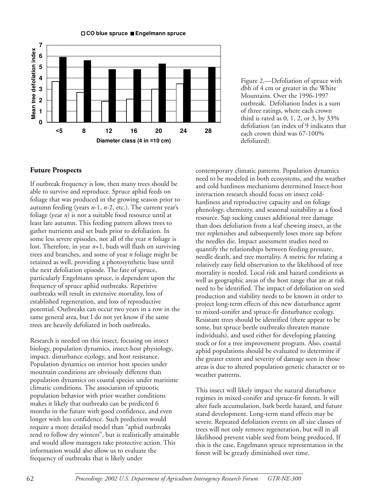

Figure 2.—Defoliation of spruce with dbh of 4 cm or greater in the White Mountains. Over the 1996-1997 outbreak. Defoliation Index is a sum of three ratings, where each crown third is rated as  $0, 1, 2$ , or  $3$ , by  $33\%$ defoliation (an index of 9 indicates that each crown third was 67-100% defoliated).

# **Future Prospects**

If outbreak frequency is low, then many trees should be able to survive and reproduce. Spruce aphid feeds on foliage that was produced in the growing season prior to autumn feeding (years *n*-1, *n*-2, etc.). The current year's foliage (year *n*) is not a suitable food resource until at least late autumn. This feeding pattern allows trees to gather nutrients and set buds prior to defoliation. In some less severe episodes, not all of the year *n* foliage is lost. Therefore, in year *n*+1, buds will flush on surviving trees and branches, and some of year *n* foliage might be retained as well, providing a photosynthetic base until the next defoliation episode. The fate of spruce, particularly Engelmann spruce, is dependent upon the frequency of spruce aphid outbreaks. Repetitive outbreaks will result in extensive mortality, loss of established regeneration, and loss of reproductive potential. Outbreaks can occur two years in a row in the same general area, but I do not yet know if the same trees are heavily defoliated in both outbreaks.

Research is needed on this insect, focusing on insect biology, population dynamics, insect-host physiology, impact, disturbance ecology, and host resistance. Population dynamics on interior host species under mountain conditions are obviously different than population dynamics on coastal species under maritime climatic conditions. The association of epizootic population behavior with prior weather conditions makes it likely that outbreaks can be predicted 6 months in the future with good confidence, and even longer with less confidence. Such prediction would require a more detailed model than "aphid outbreaks tend to follow dry winters", but is realistically attainable and would allow managers take protective action. This information would also allow us to evaluate the frequency of outbreaks that is likely under

contemporary climatic patterns. Population dynamics need to be modeled in both ecosystems, and the weather and cold hardiness mechanisms determined Insect-host interaction research should focus on insect coldhardiness and reproductive capacity and on foliage phenology, chemistry, and seasonal suitability as a food resource. Sap sucking causes additional tree damage than does defoliation from a leaf chewing insect, as the tree replenishes and subsequently loses more sap before the needles die. Impact assessment studies need to quantify the relationships between feeding pressure, needle death, and tree mortality. A metric for relating a relatively easy field observation to the likelihood of tree mortality is needed. Local risk and hazard conditions as well as geographic areas of the host range that are at risk need to be identified. The impact of defoliation on seed production and viability needs to be known in order to project long-term effects of this new disturbance agent to mixed-conifer and spruce-fir disturbance ecology. Resistant trees should be identified (there appear to be some, but spruce beetle outbreaks threaten mature individuals), and used either for developing planting stock or for a tree improvement program. Also, coastal aphid populations should be evaluated to determine if the greater extent and severity of damage seen in those areas is due to altered population genetic character or to weather patterns.

This insect will likely impact the natural disturbance regimes in mixed-conifer and spruce-fir forests. It will alter fuels accumulation, bark beetle hazard, and future stand development. Long-term stand effects may be severe. Repeated defoliation events on all size classes of trees will not only remove regeneration, but will in all likelihood prevent viable seed from being produced. If this is the case, Engelmann spruce representation in the forest will be greatly diminished over time.